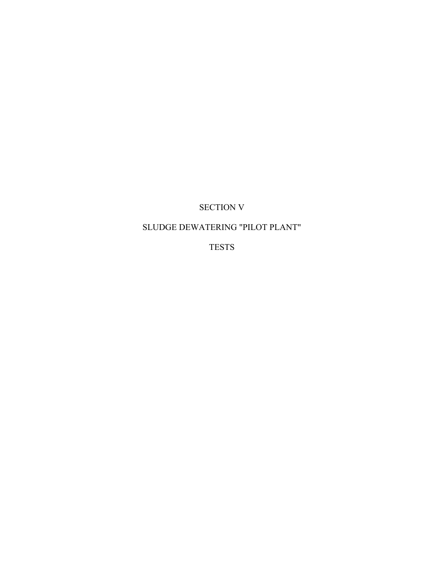# SECTION V

# SLUDGE DEWATERING "PILOT PLANT"

TESTS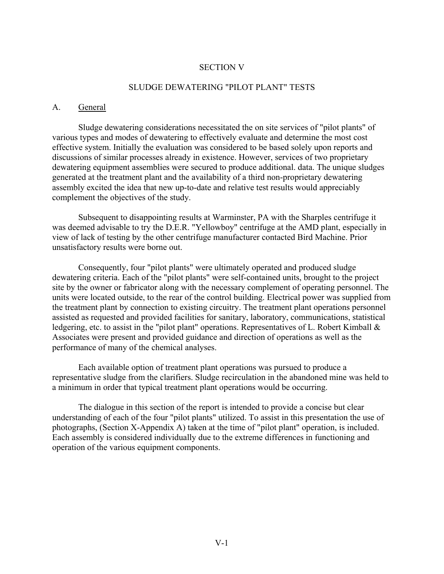#### SECTION V

#### SLUDGE DEWATERING "PILOT PLANT" TESTS

#### A. General

Sludge dewatering considerations necessitated the on site services of "pilot plants" of various types and modes of dewatering to effectively evaluate and determine the most cost effective system. Initially the evaluation was considered to be based solely upon reports and discussions of similar processes already in existence. However, services of two proprietary dewatering equipment assemblies were secured to produce additional. data. The unique sludges generated at the treatment plant and the availability of a third non-proprietary dewatering assembly excited the idea that new up-to-date and relative test results would appreciably complement the objectives of the study.

Subsequent to disappointing results at Warminster, PA with the Sharples centrifuge it was deemed advisable to try the D.E.R. "Yellowboy" centrifuge at the AMD plant, especially in view of lack of testing by the other centrifuge manufacturer contacted Bird Machine. Prior unsatisfactory results were borne out.

Consequently, four "pilot plants" were ultimately operated and produced sludge dewatering criteria. Each of the "pilot plants" were self-contained units, brought to the project site by the owner or fabricator along with the necessary complement of operating personnel. The units were located outside, to the rear of the control building. Electrical power was supplied from the treatment plant by connection to existing circuitry. The treatment plant operations personnel assisted as requested and provided facilities for sanitary, laboratory, communications, statistical ledgering, etc. to assist in the "pilot plant" operations. Representatives of L. Robert Kimball & Associates were present and provided guidance and direction of operations as well as the performance of many of the chemical analyses.

Each available option of treatment plant operations was pursued to produce a representative sludge from the clarifiers. Sludge recirculation in the abandoned mine was held to a minimum in order that typical treatment plant operations would be occurring.

The dialogue in this section of the report is intended to provide a concise but clear understanding of each of the four "pilot plants" utilized. To assist in this presentation the use of photographs, (Section X-Appendix A) taken at the time of "pilot plant" operation, is included. Each assembly is considered individually due to the extreme differences in functioning and operation of the various equipment components.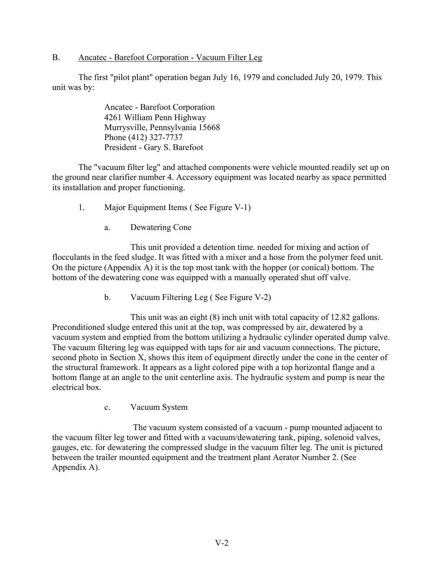B. Ancatec - Barefoot Corporation - Vacuum Filter Leg

The first "pilot plant" operation began July 16, 1979 and concluded July 20, 1979. This unit was by:

> Ancatec - Barefoot Corporation 4261 William Penn Highway Murrysville, Pennsylvania 15668 Phone (412) 327-7737 President - Gary S. Barefoot

The "vacuum filter leg" and attached components were vehicle mounted readily set up on the ground near clarifier number 4. Accessory equipment was located nearby as space permitted its installation and proper functioning.

- 1. Major Equipment Items ( See Figure V-1)
	- a. Dewatering Cone

This unit provided a detention time. needed for mixing and action of flocculants in the feed sludge. It was fitted with a mixer and a hose from the polymer feed unit. On the picture (Appendix A) it is the top most tank with the hopper (or conical) bottom. The bottom of the dewatering cone was equipped with a manually operated shut off valve.

b. Vacuum Filtering Leg ( See Figure V-2)

This unit was an eight (8) inch unit with total capacity of 12.82 gallons. Preconditioned sludge entered this unit at the top, was compressed by air, dewatered by a vacuum system and emptied from the bottom utilizing a hydraulic cylinder operated dump valve. The vacuum filtering leg was equipped with taps for air and vacuum connections. The picture, second photo in Section X, shows this item of equipment directly under the cone in the center of the structural framework. It appears as a light colored pipe with a top horizontal flange and a bottom flange at an angle to the unit centerline axis. The hydraulic system and pump is near the electrical box.

c. Vacuum System

The vacuum system consisted of a vacuum - pump mounted adjacent to the vacuum filter leg tower and fitted with a vacuum/dewatering tank, piping, solenoid valves, gauges, etc. for dewatering the compressed sludge in the vacuum filter leg. The unit is pictured between the trailer mounted equipment and the treatment plant Aerator Number 2. (See Appendix A).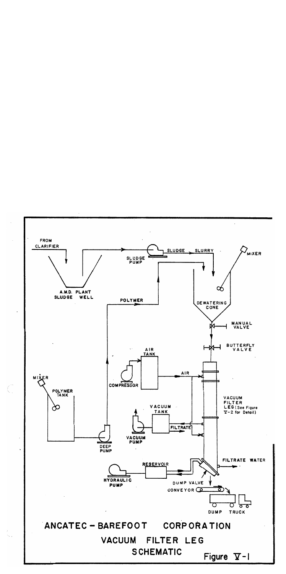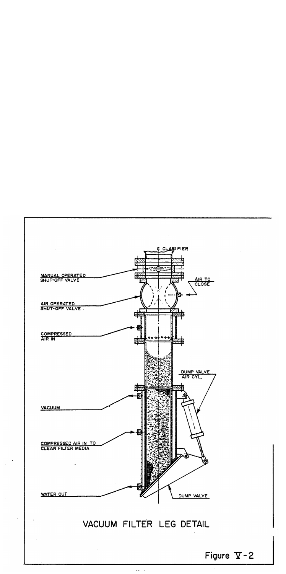

 $\sim$  4  $\Delta \Delta$ 

Figure  $\nabla$ -2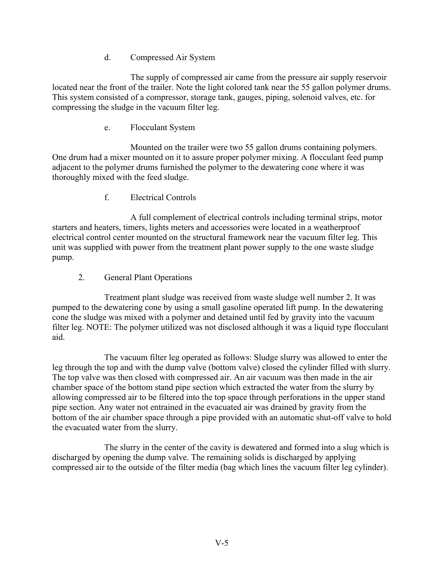### d. Compressed Air System

The supply of compressed air came from the pressure air supply reservoir located near the front of the trailer. Note the light colored tank near the 55 gallon polymer drums. This system consisted of a compressor, storage tank, gauges, piping, solenoid valves, etc. for compressing the sludge in the vacuum filter leg.

### e. Flocculant System

Mounted on the trailer were two 55 gallon drums containing polymers. One drum had a mixer mounted on it to assure proper polymer mixing. A flocculant feed pump adjacent to the polymer drums furnished the polymer to the dewatering cone where it was thoroughly mixed with the feed sludge.

### f. Electrical Controls

A full complement of electrical controls including terminal strips, motor starters and heaters, timers, lights meters and accessories were located in a weatherproof electrical control center mounted on the structural framework near the vacuum filter leg. This unit was supplied with power from the treatment plant power supply to the one waste sludge pump.

### 2. General Plant Operations

Treatment plant sludge was received from waste sludge well number 2. It was pumped to the dewatering cone by using a small gasoline operated lift pump. In the dewatering cone the sludge was mixed with a polymer and detained until fed by gravity into the vacuum filter leg. NOTE: The polymer utilized was not disclosed although it was a liquid type flocculant aid.

The vacuum filter leg operated as follows: Sludge slurry was allowed to enter the leg through the top and with the dump valve (bottom valve) closed the cylinder filled with slurry. The top valve was then closed with compressed air. An air vacuum was then made in the air chamber space of the bottom stand pipe section which extracted the water from the slurry by allowing compressed air to be filtered into the top space through perforations in the upper stand pipe section. Any water not entrained in the evacuated air was drained by gravity from the bottom of the air chamber space through a pipe provided with an automatic shut-off valve to hold the evacuated water from the slurry.

The slurry in the center of the cavity is dewatered and formed into a slug which is discharged by opening the dump valve. The remaining solids is discharged by applying compressed air to the outside of the filter media (bag which lines the vacuum filter leg cylinder).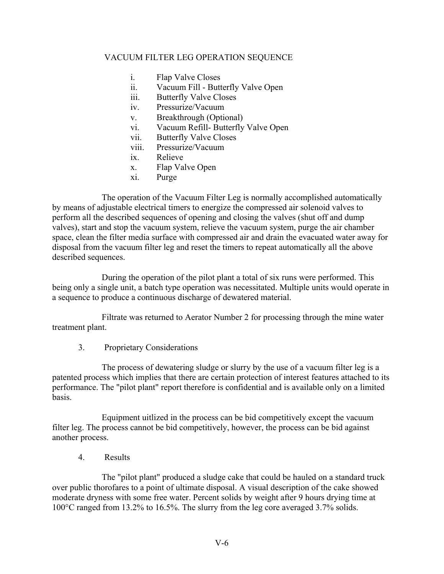#### VACUUM FILTER LEG OPERATION SEQUENCE

- i. Flap Valve Closes
- ii. Vacuum Fill Butterfly Valve Open
- iii. Butterfly Valve Closes
- iv. Pressurize/Vacuum
- v. Breakthrough (Optional)
- vi. Vacuum Refill- Butterfly Valve Open
- vii. Butterfly Valve Closes
- viii. Pressurize/Vacuum
- ix. Relieve
- x. Flap Valve Open
- xi. Purge

The operation of the Vacuum Filter Leg is normally accomplished automatically by means of adjustable electrical timers to energize the compressed air solenoid valves to perform all the described sequences of opening and closing the valves (shut off and dump valves), start and stop the vacuum system, relieve the vacuum system, purge the air chamber space, clean the filter media surface with compressed air and drain the evacuated water away for disposal from the vacuum filter leg and reset the timers to repeat automatically all the above described sequences.

During the operation of the pilot plant a total of six runs were performed. This being only a single unit, a batch type operation was necessitated. Multiple units would operate in a sequence to produce a continuous discharge of dewatered material.

Filtrate was returned to Aerator Number 2 for processing through the mine water treatment plant.

3. Proprietary Considerations

The process of dewatering sludge or slurry by the use of a vacuum filter leg is a patented process which implies that there are certain protection of interest features attached to its performance. The "pilot plant" report therefore is confidential and is available only on a limited basis.

Equipment uitlized in the process can be bid competitively except the vacuum filter leg. The process cannot be bid competitively, however, the process can be bid against another process.

4. Results

The "pilot plant" produced a sludge cake that could be hauled on a standard truck over public thorofares to a point of ultimate disposal. A visual description of the cake showed moderate dryness with some free water. Percent solids by weight after 9 hours drying time at 100°C ranged from 13.2% to 16.5%. The slurry from the leg core averaged 3.7% solids.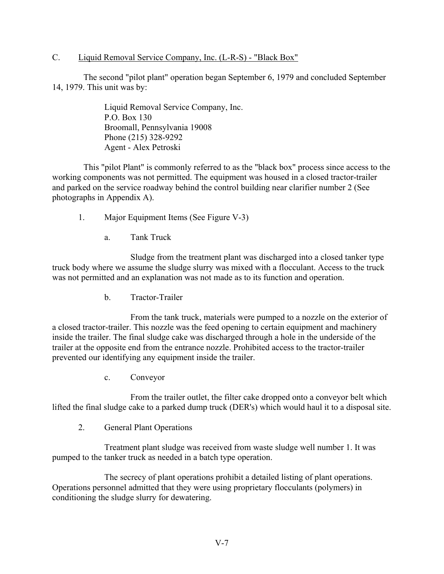#### C. Liquid Removal Service Company, Inc. (L-R-S) - "Black Box"

The second "pilot plant" operation began September 6, 1979 and concluded September 14, 1979. This unit was by:

> Liquid Removal Service Company, Inc. P.O. Box 130 Broomall, Pennsylvania 19008 Phone (215) 328-9292 Agent - Alex Petroski

This "pilot Plant" is commonly referred to as the "black box" process since access to the working components was not permitted. The equipment was housed in a closed tractor-trailer and parked on the service roadway behind the control building near clarifier number 2 (See photographs in Appendix A).

- 1. Major Equipment Items (See Figure V-3)
	- a. Tank Truck

Sludge from the treatment plant was discharged into a closed tanker type truck body where we assume the sludge slurry was mixed with a flocculant. Access to the truck was not permitted and an explanation was not made as to its function and operation.

b. Tractor-Trailer

From the tank truck, materials were pumped to a nozzle on the exterior of a closed tractor-trailer. This nozzle was the feed opening to certain equipment and machinery inside the trailer. The final sludge cake was discharged through a hole in the underside of the trailer at the opposite end from the entrance nozzle. Prohibited access to the tractor-trailer prevented our identifying any equipment inside the trailer.

c. Conveyor

From the trailer outlet, the filter cake dropped onto a conveyor belt which lifted the final sludge cake to a parked dump truck (DER's) which would haul it to a disposal site.

2. General Plant Operations

Treatment plant sludge was received from waste sludge well number 1. It was pumped to the tanker truck as needed in a batch type operation.

The secrecy of plant operations prohibit a detailed listing of plant operations. Operations personnel admitted that they were using proprietary flocculants (polymers) in conditioning the sludge slurry for dewatering.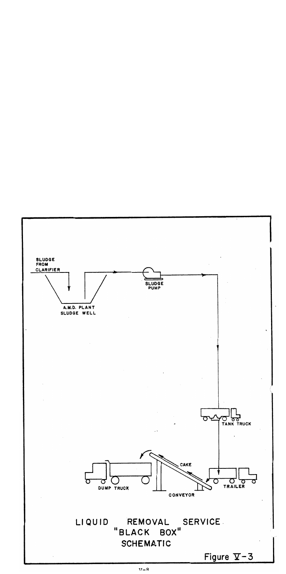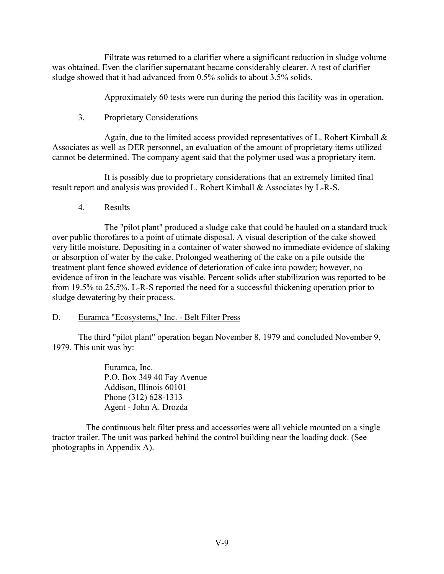Filtrate was returned to a clarifier where a significant reduction in sludge volume was obtained. Even the clarifier supernatant became considerably clearer. A test of clarifier sludge showed that it had advanced from 0.5% solids to about 3.5% solids.

Approximately 60 tests were run during the period this facility was in operation.

3. Proprietary Considerations

Again, due to the limited access provided representatives of L. Robert Kimball  $\&$ Associates as well as DER personnel, an evaluation of the amount of proprietary items utilized cannot be determined. The company agent said that the polymer used was a proprietary item.

It is possibly due to proprietary considerations that an extremely limited final result report and analysis was provided L. Robert Kimball & Associates by L-R-S.

4. Results

The "pilot plant" produced a sludge cake that could be hauled on a standard truck over public thorofares to a point of utimate disposal. A visual description of the cake showed very little moisture. Depositing in a container of water showed no immediate evidence of slaking or absorption of water by the cake. Prolonged weathering of the cake on a pile outside the treatment plant fence showed evidence of deterioration of cake into powder; however, no evidence of iron in the leachate was visable. Percent solids after stabilization was reported to be from 19.5% to 25.5%. L-R-S reported the need for a successful thickening operation prior to sludge dewatering by their process.

#### D. Euramca "Ecosystems," Inc. - Belt Filter Press

The third "pilot plant" operation began November 8, 1979 and concluded November 9, 1979. This unit was by:

> Euramca, Inc. P.O. Box 349 40 Fay Avenue Addison, Illinois 60101 Phone (312) 628-1313 Agent - John A. Drozda

The continuous belt filter press and accessories were all vehicle mounted on a single tractor trailer. The unit was parked behind the control building near the loading dock. (See photographs in Appendix A).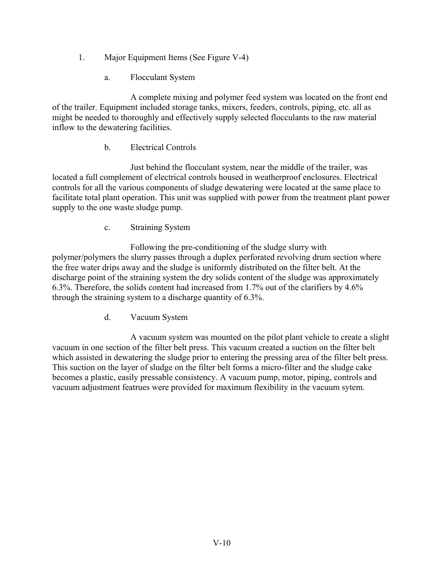- 1. Major Equipment Items (See Figure V-4)
	- a. Flocculant System

A complete mixing and polymer feed system was located on the front end of the trailer. Equipment included storage tanks, mixers, feeders, controls, piping, etc. all as might be needed to thoroughly and effectively supply selected flocculants to the raw material inflow to the dewatering facilities.

### b. Electrical Controls

Just behind the flocculant system, near the middle of the trailer, was located a full complement of electrical controls housed in weatherproof enclosures. Electrical controls for all the various components of sludge dewatering were located at the same place to facilitate total plant operation. This unit was supplied with power from the treatment plant power supply to the one waste sludge pump.

c. Straining System

Following the pre-conditioning of the sludge slurry with polymer/polymers the slurry passes through a duplex perforated revolving drum section where the free water drips away and the sludge is uniformly distributed on the filter belt. At the discharge point of the straining system the dry solids content of the sludge was approximately 6.3%. Therefore, the solids content had increased from 1.7% out of the clarifiers by 4.6% through the straining system to a discharge quantity of 6.3%.

d. Vacuum System

A vacuum system was mounted on the pilot plant vehicle to create a slight vacuum in one section of the filter belt press. This vacuum created a suction on the filter belt which assisted in dewatering the sludge prior to entering the pressing area of the filter belt press. This suction on the layer of sludge on the filter belt forms a micro-filter and the sludge cake becomes a plastic, easily pressable consistency. A vacuum pump, motor, piping, controls and vacuum adjustment featrues were provided for maximum flexibility in the vacuum sytem.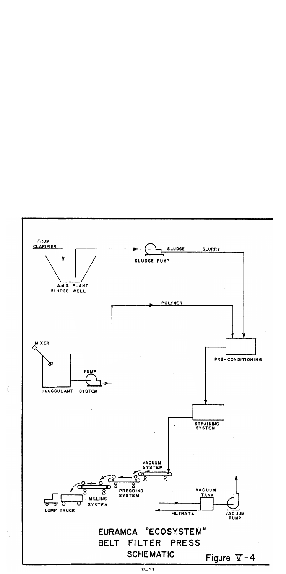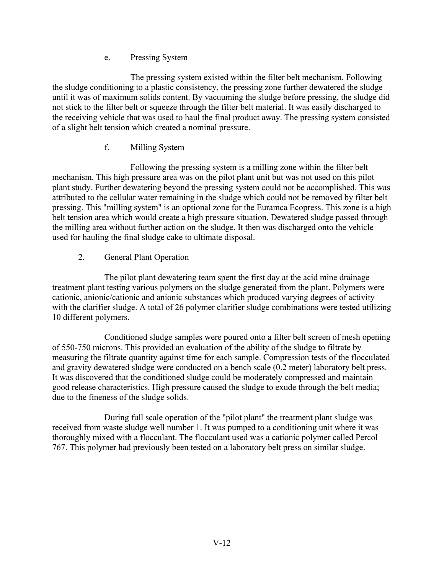e. Pressing System

The pressing system existed within the filter belt mechanism. Following the sludge conditioning to a plastic consistency, the pressing zone further dewatered the sludge until it was of maximum solids content. By vacuuming the sludge before pressing, the sludge did not stick to the filter belt or squeeze through the filter belt material. It was easily discharged to the receiving vehicle that was used to haul the final product away. The pressing system consisted of a slight belt tension which created a nominal pressure.

## f. Milling System

Following the pressing system is a milling zone within the filter belt mechanism. This high pressure area was on the pilot plant unit but was not used on this pilot plant study. Further dewatering beyond the pressing system could not be accomplished. This was attributed to the cellular water remaining in the sludge which could not be removed by filter belt pressing. This "milling system" is an optional zone for the Euramca Ecopress. This zone is a high belt tension area which would create a high pressure situation. Dewatered sludge passed through the milling area without further action on the sludge. It then was discharged onto the vehicle used for hauling the final sludge cake to ultimate disposal.

## 2. General Plant Operation

The pilot plant dewatering team spent the first day at the acid mine drainage treatment plant testing various polymers on the sludge generated from the plant. Polymers were cationic, anionic/cationic and anionic substances which produced varying degrees of activity with the clarifier sludge. A total of 26 polymer clarifier sludge combinations were tested utilizing 10 different polymers.

Conditioned sludge samples were poured onto a filter belt screen of mesh opening of 550-750 microns. This provided an evaluation of the ability of the sludge to filtrate by measuring the filtrate quantity against time for each sample. Compression tests of the flocculated and gravity dewatered sludge were conducted on a bench scale (0.2 meter) laboratory belt press. It was discovered that the conditioned sludge could be moderately compressed and maintain good release characteristics. High pressure caused the sludge to exude through the belt media; due to the fineness of the sludge solids.

During full scale operation of the "pilot plant" the treatment plant sludge was received from waste sludge well number 1. It was pumped to a conditioning unit where it was thoroughly mixed with a flocculant. The flocculant used was a cationic polymer called Percol 767. This polymer had previously been tested on a laboratory belt press on similar sludge.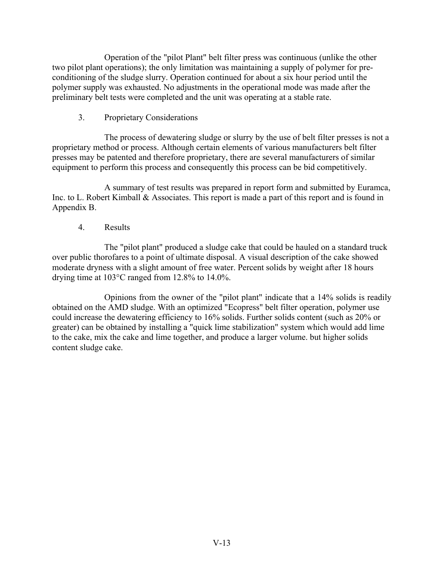Operation of the "pilot Plant" belt filter press was continuous (unlike the other two pilot plant operations); the only limitation was maintaining a supply of polymer for preconditioning of the sludge slurry. Operation continued for about a six hour period until the polymer supply was exhausted. No adjustments in the operational mode was made after the preliminary belt tests were completed and the unit was operating at a stable rate.

3. Proprietary Considerations

The process of dewatering sludge or slurry by the use of belt filter presses is not a proprietary method or process. Although certain elements of various manufacturers belt filter presses may be patented and therefore proprietary, there are several manufacturers of similar equipment to perform this process and consequently this process can be bid competitively.

A summary of test results was prepared in report form and submitted by Euramca, Inc. to L. Robert Kimball & Associates. This report is made a part of this report and is found in Appendix B.

### 4. Results

The "pilot plant" produced a sludge cake that could be hauled on a standard truck over public thorofares to a point of ultimate disposal. A visual description of the cake showed moderate dryness with a slight amount of free water. Percent solids by weight after 18 hours drying time at 103°C ranged from 12.8% to 14.0%.

Opinions from the owner of the "pilot plant" indicate that a 14% solids is readily obtained on the AMD sludge. With an optimized "Ecopress" belt filter operation, polymer use could increase the dewatering efficiency to 16% solids. Further solids content (such as 20% or greater) can be obtained by installing a "quick lime stabilization" system which would add lime to the cake, mix the cake and lime together, and produce a larger volume. but higher solids content sludge cake.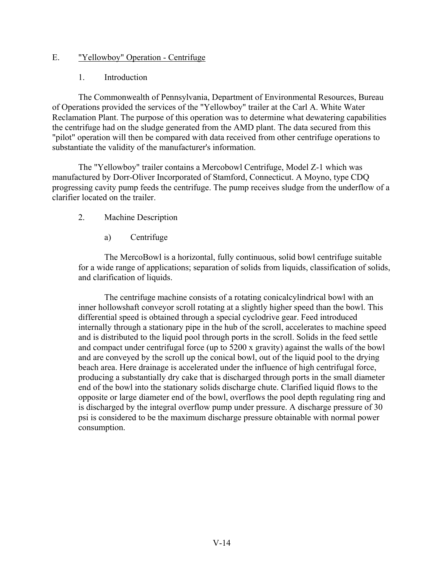#### E. "Yellowboy" Operation - Centrifuge

1. Introduction

The Commonwealth of Pennsylvania, Department of Environmental Resources, Bureau of Operations provided the services of the "Yellowboy" trailer at the Carl A. White Water Reclamation Plant. The purpose of this operation was to determine what dewatering capabilities the centrifuge had on the sludge generated from the AMD plant. The data secured from this "pilot" operation will then be compared with data received from other centrifuge operations to substantiate the validity of the manufacturer's information.

The "Yellowboy" trailer contains a Mercobowl Centrifuge, Model Z-1 which was manufactured by Dorr-Oliver Incorporated of Stamford, Connecticut. A Moyno, type CDQ progressing cavity pump feeds the centrifuge. The pump receives sludge from the underflow of a clarifier located on the trailer.

- 2. Machine Description
	- a) Centrifuge

The MercoBowl is a horizontal, fully continuous, solid bowl centrifuge suitable for a wide range of applications; separation of solids from liquids, classification of solids, and clarification of liquids.

The centrifuge machine consists of a rotating conicalcylindrical bowl with an inner hollowshaft conveyor scroll rotating at a slightly higher speed than the bowl. This differential speed is obtained through a special cyclodrive gear. Feed introduced internally through a stationary pipe in the hub of the scroll, accelerates to machine speed and is distributed to the liquid pool through ports in the scroll. Solids in the feed settle and compact under centrifugal force (up to 5200 x gravity) against the walls of the bowl and are conveyed by the scroll up the conical bowl, out of the liquid pool to the drying beach area. Here drainage is accelerated under the influence of high centrifugal force, producing a substantially dry cake that is discharged through ports in the small diameter end of the bowl into the stationary solids discharge chute. Clarified liquid flows to the opposite or large diameter end of the bowl, overflows the pool depth regulating ring and is discharged by the integral overflow pump under pressure. A discharge pressure of 30 psi is considered to be the maximum discharge pressure obtainable with normal power consumption.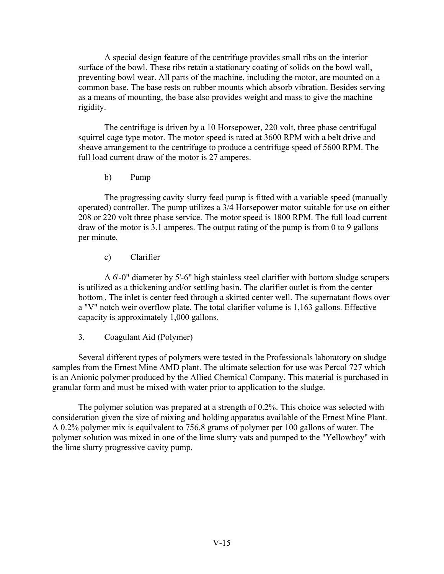A special design feature of the centrifuge provides small ribs on the interior surface of the bowl. These ribs retain a stationary coating of solids on the bowl wall, preventing bowl wear. All parts of the machine, including the motor, are mounted on a common base. The base rests on rubber mounts which absorb vibration. Besides serving as a means of mounting, the base also provides weight and mass to give the machine rigidity.

The centrifuge is driven by a 10 Horsepower, 220 volt, three phase centrifugal squirrel cage type motor. The motor speed is rated at 3600 RPM with a belt drive and sheave arrangement to the centrifuge to produce a centrifuge speed of 5600 RPM. The full load current draw of the motor is 27 amperes.

b) Pump

The progressing cavity slurry feed pump is fitted with a variable speed (manually operated) controller. The pump utilizes a 3/4 Horsepower motor suitable for use on either 208 or 220 volt three phase service. The motor speed is 1800 RPM. The full load current draw of the motor is 3.1 amperes. The output rating of the pump is from 0 to 9 gallons per minute.

c) Clarifier

A 6'-0" diameter by 5'-6" high stainless steel clarifier with bottom sludge scrapers is utilized as a thickening and/or settling basin. The clarifier outlet is from the center bottom.. The inlet is center feed through a skirted center well. The supernatant flows over a "V" notch weir overflow plate. The total clarifier volume is 1,163 gallons. Effective capacity is approximately 1,000 gallons.

3. Coagulant Aid (Polymer)

Several different types of polymers were tested in the Professionals laboratory on sludge samples from the Ernest Mine AMD plant. The ultimate selection for use was Percol 727 which is an Anionic polymer produced by the Allied Chemical Company. This material is purchased in granular form and must be mixed with water prior to application to the sludge.

The polymer solution was prepared at a strength of 0.2%. This choice was selected with consideration given the size of mixing and holding apparatus available of the Ernest Mine Plant. A 0.2% polymer mix is equilvalent to 756.8 grams of polymer per 100 gallons of water. The polymer solution was mixed in one of the lime slurry vats and pumped to the "Yellowboy" with the lime slurry progressive cavity pump.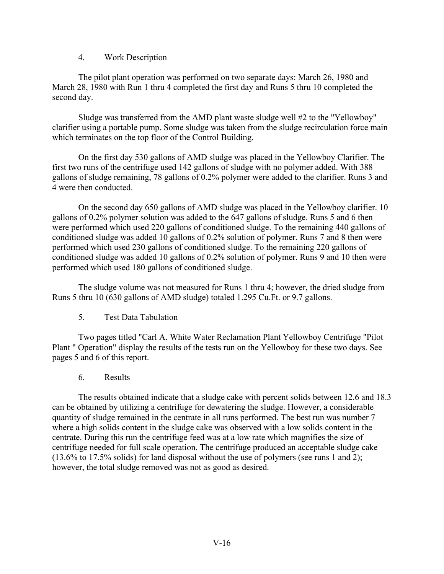#### 4. Work Description

The pilot plant operation was performed on two separate days: March 26, 1980 and March 28, 1980 with Run 1 thru 4 completed the first day and Runs 5 thru 10 completed the second day.

Sludge was transferred from the AMD plant waste sludge well #2 to the "Yellowboy" clarifier using a portable pump. Some sludge was taken from the sludge recirculation force main which terminates on the top floor of the Control Building.

On the first day 530 gallons of AMD sludge was placed in the Yellowboy Clarifier. The first two runs of the centrifuge used 142 gallons of sludge with no polymer added. With 388 gallons of sludge remaining, 78 gallons of 0.2% polymer were added to the clarifier. Runs 3 and 4 were then conducted.

On the second day 650 gallons of AMD sludge was placed in the Yellowboy clarifier. 10 gallons of 0.2% polymer solution was added to the 647 gallons of sludge. Runs 5 and 6 then were performed which used 220 gallons of conditioned sludge. To the remaining 440 gallons of conditioned sludge was added 10 gallons of 0.2% solution of polymer. Runs 7 and 8 then were performed which used 230 gallons of conditioned sludge. To the remaining 220 gallons of conditioned sludge was added 10 gallons of 0.2% solution of polymer. Runs 9 and 10 then were performed which used 180 gallons of conditioned sludge.

The sludge volume was not measured for Runs 1 thru 4; however, the dried sludge from Runs 5 thru 10 (630 gallons of AMD sludge) totaled 1.295 Cu.Ft. or 9.7 gallons.

5. Test Data Tabulation

Two pages titled "Carl A. White Water Reclamation Plant Yellowboy Centrifuge "Pilot Plant " Operation" display the results of the tests run on the Yellowboy for these two days. See pages 5 and 6 of this report.

6. Results

The results obtained indicate that a sludge cake with percent solids between 12.6 and 18.3 can be obtained by utilizing a centrifuge for dewatering the sludge. However, a considerable quantity of sludge remained in the centrate in all runs performed. The best run was number 7 where a high solids content in the sludge cake was observed with a low solids content in the centrate. During this run the centrifuge feed was at a low rate which magnifies the size of centrifuge needed for full scale operation. The centrifuge produced an acceptable sludge cake (13.6% to 17.5% solids) for land disposal without the use of polymers (see runs 1 and 2); however, the total sludge removed was not as good as desired.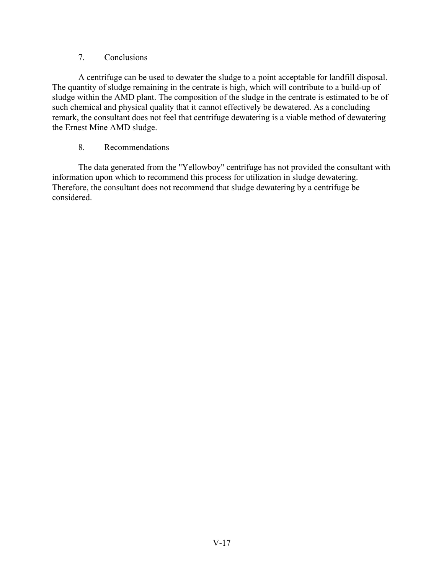#### 7. Conclusions

A centrifuge can be used to dewater the sludge to a point acceptable for landfill disposal. The quantity of sludge remaining in the centrate is high, which will contribute to a build-up of sludge within the AMD plant. The composition of the sludge in the centrate is estimated to be of such chemical and physical quality that it cannot effectively be dewatered. As a concluding remark, the consultant does not feel that centrifuge dewatering is a viable method of dewatering the Ernest Mine AMD sludge.

### 8. Recommendations

The data generated from the "Yellowboy" centrifuge has not provided the consultant with information upon which to recommend this process for utilization in sludge dewatering. Therefore, the consultant does not recommend that sludge dewatering by a centrifuge be considered.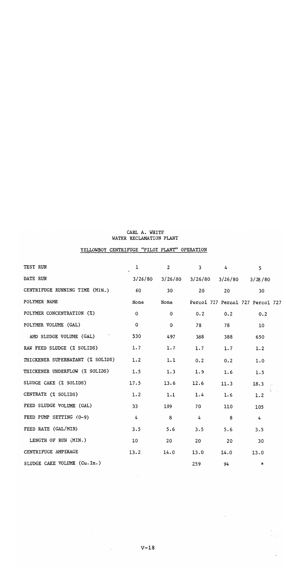#### CARL A. WHITE WATER RECLAMATION PLANT

# YELLOWBOY CENTRIFUGE "PILOT PLANT" OPERATION

| TEST RUN                         | 1           | $\overline{2}$      | $\mathbf{3}$   | $\overline{4}$ | 5                                |  |
|----------------------------------|-------------|---------------------|----------------|----------------|----------------------------------|--|
| DATE RUN                         |             | $3/26/80$ $3/26/80$ | 3/26/80        | 3/26/80        | 3/28/80                          |  |
| CENTRIFUGE RUNNING TIME (MIN.)   | - 60        | 30 <sub>1</sub>     | 20             | 20             | 30                               |  |
| POLYMER NAME                     | None        | None                |                |                | Percol 727 Percol 727 Percol 727 |  |
| POLYMER CONCENTRATION (%)        | $\mathbf 0$ | 0                   | 0.2            | 0.2            | 0.2                              |  |
| POLYMER VOLUME (GAL)             | $\mathbf 0$ | $\mathbf 0$         | 78             | 78             | 10                               |  |
| AMD SLUDGE VOLUME (GAL)          | 530         | 497                 | 388            | 388            | 650                              |  |
| RAW FEED SLUDGE (% SOLIDS)       | 1.7         | 1.7                 | 1.7            | 1.7            | 1.2                              |  |
| THICKENER SUPERNATANT (% SOLIDS) | 1.2         | 1.1                 | 0.2            | 0.2            | 1.0                              |  |
| THICKENER UNDERFLOW (% SOLIDS)   | 1.5         | 1.3                 | 1.9            | 1.6            | 1.5                              |  |
| SLUDGE CAKE (% SOLIDS)           | 17.5        | 13.6                | 12.6           | 11.3           | 18.3                             |  |
| CENTRATE (% SOLIDS)              | 1.2         | 1.1                 | 1.4            | 1.6            | 1.2                              |  |
| FEED SLUDGE VOLUME (GAL)         | 33          | 109                 | 70             | 110            | 105                              |  |
| FEED PUMP SETTING (0-9)          | 4           | 8                   | $\overline{4}$ | 8              | $\overline{4}$                   |  |
| FEED RATE (GAL/MIN)              | 3.5         | 5.6                 | 3.5            | 5.6            | 3.5                              |  |
| LENGTH OF RUN (MIN.)             | 10          | 20                  | 20             | 20             | 30                               |  |
| CENTRIFUGE AMPERAGE              | 13.2        | 14.0                | 13.0 14.0      |                | 13.0                             |  |
| SLUDGE CAKE VOLUME (Cu. In.)     |             |                     | 259            | 94             | $\star$                          |  |

 $\epsilon$ 

 $\ell$ 

 $\ddot{\phantom{0}}$